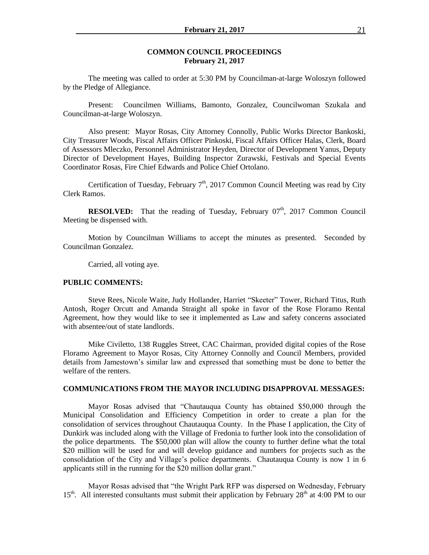## **COMMON COUNCIL PROCEEDINGS February 21, 2017**

The meeting was called to order at 5:30 PM by Councilman-at-large Woloszyn followed by the Pledge of Allegiance.

Present: Councilmen Williams, Bamonto, Gonzalez, Councilwoman Szukala and Councilman-at-large Woloszyn.

Also present: Mayor Rosas, City Attorney Connolly, Public Works Director Bankoski, City Treasurer Woods, Fiscal Affairs Officer Pinkoski, Fiscal Affairs Officer Halas, Clerk, Board of Assessors Mleczko, Personnel Administrator Heyden, Director of Development Yanus, Deputy Director of Development Hayes, Building Inspector Zurawski, Festivals and Special Events Coordinator Rosas, Fire Chief Edwards and Police Chief Ortolano.

Certification of Tuesday, February  $7<sup>th</sup>$ , 2017 Common Council Meeting was read by City Clerk Ramos.

**RESOLVED:** That the reading of Tuesday, February 07<sup>th</sup>, 2017 Common Council Meeting be dispensed with.

Motion by Councilman Williams to accept the minutes as presented. Seconded by Councilman Gonzalez.

Carried, all voting aye.

### **PUBLIC COMMENTS:**

Steve Rees, Nicole Waite, Judy Hollander, Harriet "Skeeter" Tower, Richard Titus, Ruth Antosh, Roger Orcutt and Amanda Straight all spoke in favor of the Rose Floramo Rental Agreement, how they would like to see it implemented as Law and safety concerns associated with absentee/out of state landlords.

Mike Civiletto, 138 Ruggles Street, CAC Chairman, provided digital copies of the Rose Floramo Agreement to Mayor Rosas, City Attorney Connolly and Council Members, provided details from Jamestown's similar law and expressed that something must be done to better the welfare of the renters.

#### **COMMUNICATIONS FROM THE MAYOR INCLUDING DISAPPROVAL MESSAGES:**

Mayor Rosas advised that "Chautauqua County has obtained \$50,000 through the Municipal Consolidation and Efficiency Competition in order to create a plan for the consolidation of services throughout Chautauqua County. In the Phase I application, the City of Dunkirk was included along with the Village of Fredonia to further look into the consolidation of the police departments. The \$50,000 plan will allow the county to further define what the total \$20 million will be used for and will develop guidance and numbers for projects such as the consolidation of the City and Village's police departments. Chautauqua County is now 1 in 6 applicants still in the running for the \$20 million dollar grant."

Mayor Rosas advised that "the Wright Park RFP was dispersed on Wednesday, February  $15<sup>th</sup>$ . All interested consultants must submit their application by February 28<sup>th</sup> at 4:00 PM to our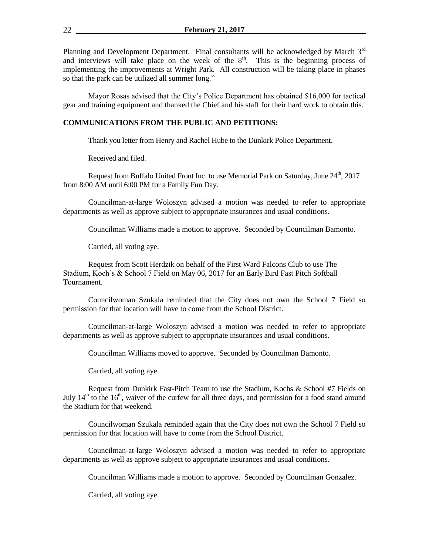Planning and Development Department. Final consultants will be acknowledged by March 3<sup>rd</sup> and interviews will take place on the week of the  $8<sup>th</sup>$ . This is the beginning process of implementing the improvements at Wright Park. All construction will be taking place in phases so that the park can be utilized all summer long."

Mayor Rosas advised that the City's Police Department has obtained \$16,000 for tactical gear and training equipment and thanked the Chief and his staff for their hard work to obtain this.

# **COMMUNICATIONS FROM THE PUBLIC AND PETITIONS:**

Thank you letter from Henry and Rachel Hube to the Dunkirk Police Department.

Received and filed.

Request from Buffalo United Front Inc. to use Memorial Park on Saturday, June  $24^{\text{th}}$ , 2017 from 8:00 AM until 6:00 PM for a Family Fun Day.

Councilman-at-large Woloszyn advised a motion was needed to refer to appropriate departments as well as approve subject to appropriate insurances and usual conditions.

Councilman Williams made a motion to approve. Seconded by Councilman Bamonto.

Carried, all voting aye.

Request from Scott Herdzik on behalf of the First Ward Falcons Club to use The Stadium, Koch's & School 7 Field on May 06, 2017 for an Early Bird Fast Pitch Softball Tournament.

Councilwoman Szukala reminded that the City does not own the School 7 Field so permission for that location will have to come from the School District.

Councilman-at-large Woloszyn advised a motion was needed to refer to appropriate departments as well as approve subject to appropriate insurances and usual conditions.

Councilman Williams moved to approve. Seconded by Councilman Bamonto.

Carried, all voting aye.

Request from Dunkirk Fast-Pitch Team to use the Stadium, Kochs & School #7 Fields on July  $14<sup>th</sup>$  to the  $16<sup>th</sup>$ , waiver of the curfew for all three days, and permission for a food stand around the Stadium for that weekend.

Councilwoman Szukala reminded again that the City does not own the School 7 Field so permission for that location will have to come from the School District.

Councilman-at-large Woloszyn advised a motion was needed to refer to appropriate departments as well as approve subject to appropriate insurances and usual conditions.

Councilman Williams made a motion to approve. Seconded by Councilman Gonzalez.

Carried, all voting aye.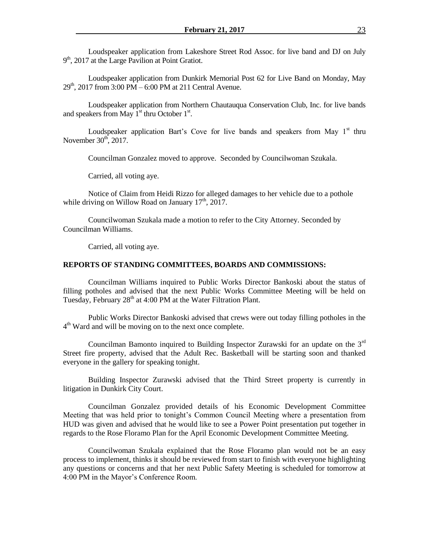Loudspeaker application from Lakeshore Street Rod Assoc. for live band and DJ on July 9<sup>th</sup>, 2017 at the Large Pavilion at Point Gratiot.

Loudspeaker application from Dunkirk Memorial Post 62 for Live Band on Monday, May  $29<sup>th</sup>$ , 2017 from 3:00 PM – 6:00 PM at 211 Central Avenue.

Loudspeaker application from Northern Chautauqua Conservation Club, Inc. for live bands and speakers from May  $1<sup>st</sup>$  thru October  $1<sup>st</sup>$ .

Loudspeaker application Bart's Cove for live bands and speakers from May  $1<sup>st</sup>$  thru November  $30<sup>th</sup>$ , 2017.

Councilman Gonzalez moved to approve. Seconded by Councilwoman Szukala.

Carried, all voting aye.

Notice of Claim from Heidi Rizzo for alleged damages to her vehicle due to a pothole while driving on Willow Road on January  $17<sup>th</sup>$ , 2017.

Councilwoman Szukala made a motion to refer to the City Attorney. Seconded by Councilman Williams.

Carried, all voting aye.

#### **REPORTS OF STANDING COMMITTEES, BOARDS AND COMMISSIONS:**

Councilman Williams inquired to Public Works Director Bankoski about the status of filling potholes and advised that the next Public Works Committee Meeting will be held on Tuesday, February 28<sup>th</sup> at 4:00 PM at the Water Filtration Plant.

Public Works Director Bankoski advised that crews were out today filling potholes in the 4<sup>th</sup> Ward and will be moving on to the next once complete.

Councilman Bamonto inquired to Building Inspector Zurawski for an update on the  $3<sup>rd</sup>$ Street fire property, advised that the Adult Rec. Basketball will be starting soon and thanked everyone in the gallery for speaking tonight.

Building Inspector Zurawski advised that the Third Street property is currently in litigation in Dunkirk City Court.

Councilman Gonzalez provided details of his Economic Development Committee Meeting that was held prior to tonight's Common Council Meeting where a presentation from HUD was given and advised that he would like to see a Power Point presentation put together in regards to the Rose Floramo Plan for the April Economic Development Committee Meeting.

Councilwoman Szukala explained that the Rose Floramo plan would not be an easy process to implement, thinks it should be reviewed from start to finish with everyone highlighting any questions or concerns and that her next Public Safety Meeting is scheduled for tomorrow at 4:00 PM in the Mayor's Conference Room.